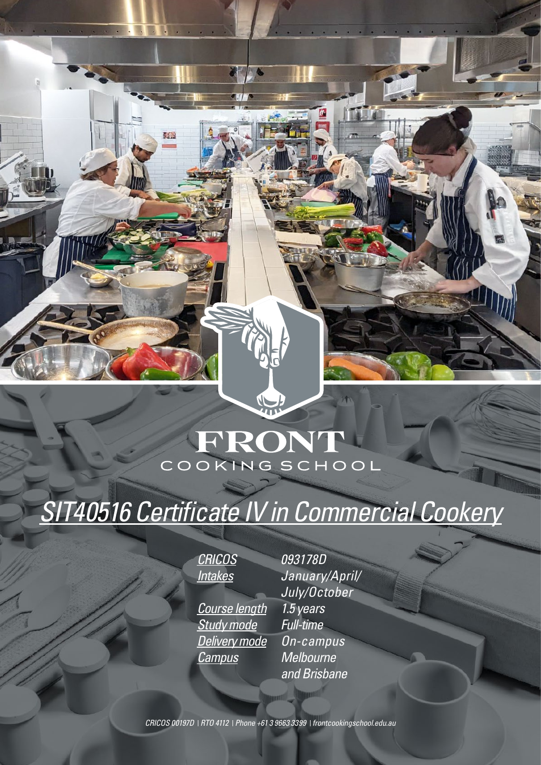## FRONT COOKING SCHOOL

 $\sqrt{\frac{1}{1}}$ 

# *SIT40516 Certificate IV in Commercial Cookery*

*CRICOS 093178D*

引渡

*Course length 1.5 years Study mode Full-time Delivery mode On-campus Campus Melbourne* 

*Intakes January/April/ July/October and Brisbane*

*CRICOS 00197D RTO 4112 Phone +61 3 9663 3399 frontcookingschool.edu.au*